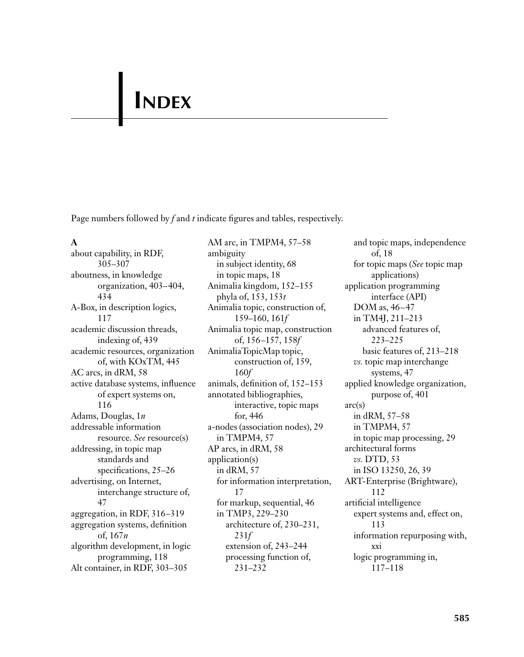# **INDEX**

Page numbers followed by *f* and *t* indicate figures and tables, respectively.

#### **A**

about capability, in RDF, 305–307 aboutness, in knowledge organization, 403–404, 434 A-Box, in description logics, 117 academic discussion threads, indexing of, 439 academic resources, organization of, with KOxTM, 445 AC arcs, in dRM, 58 active database systems, influence of expert systems on, 116 Adams, Douglas, 1*n* addressable information resource. *See* resource(s) addressing, in topic map standards and specifications, 25–26 advertising, on Internet, interchange structure of, 47 aggregation, in RDF, 316–319 aggregation systems, definition of, 167*n* algorithm development, in logic programming, 118 Alt container, in RDF, 303–305

AM arc, in TMPM4, 57–58 ambiguity in subject identity, 68 in topic maps, 18 Animalia kingdom, 152–155 phyla of, 153, 153*t* Animalia topic, construction of, 159–160, 161*f* Animalia topic map, construction of, 156–157, 158*f* AnimaliaTopicMap topic, construction of, 159, 160*f* animals, definition of, 152–153 annotated bibliographies, interactive, topic maps for, 446 a-nodes (association nodes), 29 in TMPM4, 57 AP arcs, in dRM, 58 application(s) in dRM, 57 for information interpretation, 17 for markup, sequential, 46 in TMP3, 229–230 architecture of, 230–231, 231*f* extension of, 243–244 processing function of, 231–232

and topic maps, independence of, 18 for topic maps (*See* topic map applications) application programming interface (API) DOM as, 46–47 in TM4J, 211–213 advanced features of, 223–225 basic features of, 213–218 *vs.* topic map interchange systems, 47 applied knowledge organization, purpose of, 401 arc(s) in dRM, 57–58 in TMPM4, 57 in topic map processing, 29 architectural forms *vs.* DTD, 53 in ISO 13250, 26, 39 ART-Enterprise (Brightware), 112 artificial intelligence expert systems and, effect on, 113 information repurposing with, xxi logic programming in, 117–118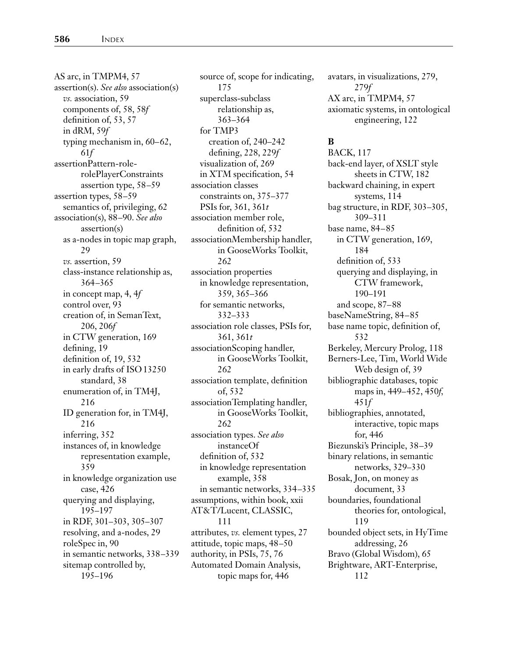AS arc, in TMPM4, 57 assertion(s). *See also* association(s) *vs.* association, 59 components of, 58, 58*f* definition of, 53, 57 in dRM, 59*f* typing mechanism in, 60–62, 61*f* assertionPattern-rolerolePlayerConstraints assertion type, 58–59 assertion types, 58–59 semantics of, privileging, 62 association(s), 88–90. *See also* assertion(s) as a-nodes in topic map graph, 29 *vs.* assertion, 59 class-instance relationship as, 364–365 in concept map, 4, 4*f* control over, 93 creation of, in SemanText, 206, 206*f* in CTW generation, 169 defining, 19 definition of, 19, 532 in early drafts of ISO13250 standard, 38 enumeration of, in TM4J, 216 ID generation for, in TM4J, 216 inferring, 352 instances of, in knowledge representation example, 359 in knowledge organization use case, 426 querying and displaying, 195–197 in RDF, 301–303, 305–307 resolving, and a-nodes, 29 roleSpec in, 90 in semantic networks, 338–339 sitemap controlled by, 195–196

source of, scope for indicating, 175 superclass-subclass relationship as, 363–364 for TMP3 creation of, 240–242 defining, 228, 229*f* visualization of, 269 in XTM specification, 54 association classes constraints on, 375–377 PSIs for, 361, 361*t* association member role, definition of, 532 associationMembership handler, in GooseWorks Toolkit, 262 association properties in knowledge representation, 359, 365–366 for semantic networks, 332–333 association role classes, PSIs for, 361, 361*t* associationScoping handler, in GooseWorks Toolkit, 262 association template, definition of, 532 associationTemplating handler, in GooseWorks Toolkit, 262 association types. *See also* instanceOf definition of, 532 in knowledge representation example, 358 in semantic networks, 334–335 assumptions, within book, xxii AT&T/Lucent, CLASSIC, 111 attributes, *vs.* element types, 27 attitude, topic maps, 48–50 authority, in PSIs, 75, 76 Automated Domain Analysis, topic maps for, 446

avatars, in visualizations, 279, 279*f* AX arc, in TMPM4, 57 axiomatic systems, in ontological engineering, 122

#### **B**

BACK, 117 back-end layer, of XSLT style sheets in CTW, 182 backward chaining, in expert systems, 114 bag structure, in RDF, 303–305, 309–311 base name, 84–85 in CTW generation, 169, 184 definition of, 533 querying and displaying, in CTW framework, 190–191 and scope, 87–88 baseNameString, 84–85 base name topic, definition of, 532 Berkeley, Mercury Prolog, 118 Berners-Lee, Tim, World Wide Web design of, 39 bibliographic databases, topic maps in, 449–452, 450*f,* 451*f* bibliographies, annotated, interactive, topic maps for, 446 Biezunski's Principle, 38–39 binary relations, in semantic networks, 329–330 Bosak, Jon, on money as document, 33 boundaries, foundational theories for, ontological, 119 bounded object sets, in HyTime addressing, 26 Bravo (Global Wisdom), 65 Brightware, ART-Enterprise, 112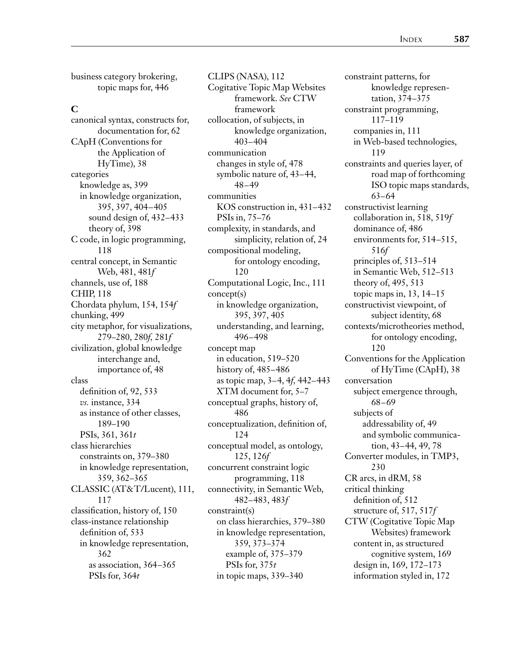business category brokering, topic maps for, 446

#### **C**

canonical syntax, constructs for, documentation for, 62 CApH (Conventions for the Application of HyTime), 38 categories knowledge as, 399 in knowledge organization, 395, 397, 404–405 sound design of, 432–433 theory of, 398 C code, in logic programming, 118 central concept, in Semantic Web, 481, 481*f* channels, use of, 188 CHIP, 118 Chordata phylum, 154, 154*f* chunking, 499 city metaphor, for visualizations, 279–280, 280*f,* 281*f* civilization, global knowledge interchange and, importance of, 48 class definition of, 92, 533 *vs.* instance, 334 as instance of other classes, 189–190 PSIs, 361, 361*t* class hierarchies constraints on, 379–380 in knowledge representation, 359, 362–365 CLASSIC (AT&T/Lucent), 111, 117 classification, history of, 150 class-instance relationship definition of, 533 in knowledge representation, 362 as association, 364–365 PSIs for, 364*t*

CLIPS (NASA), 112 Cogitative Topic Map Websites framework. *See* CTW framework collocation, of subjects, in knowledge organization, 403–404 communication changes in style of, 478 symbolic nature of, 43–44, 48–49 communities KOS construction in, 431–432 PSIs in, 75–76 complexity, in standards, and simplicity, relation of, 24 compositional modeling, for ontology encoding, 120 Computational Logic, Inc., 111 concept(s) in knowledge organization, 395, 397, 405 understanding, and learning, 496–498 concept map in education, 519–520 history of, 485–486 as topic map, 3–4, 4*f,* 442–443 XTM document for, 5–7 conceptual graphs, history of, 486 conceptualization, definition of, 124 conceptual model, as ontology, 125, 126*f* concurrent constraint logic programming, 118 connectivity, in Semantic Web, 482–483, 483*f* constraint(s) on class hierarchies, 379–380 in knowledge representation, 359, 373–374 example of, 375–379 PSIs for, 375*t* in topic maps, 339–340

constraint patterns, for knowledge representation, 374–375 constraint programming, 117–119 companies in, 111 in Web-based technologies, 119 constraints and queries layer, of road map of forthcoming ISO topic maps standards, 63–64 constructivist learning collaboration in, 518, 519*f* dominance of, 486 environments for, 514–515, 516*f* principles of, 513–514 in Semantic Web, 512–513 theory of, 495, 513 topic maps in, 13, 14–15 constructivist viewpoint, of subject identity, 68 contexts/microtheories method, for ontology encoding, 120 Conventions for the Application of HyTime (CApH), 38 conversation subject emergence through, 68–69 subjects of addressability of, 49 and symbolic communication, 43–44, 49, 78 Converter modules, in TMP3, 230 CR arcs, in dRM, 58 critical thinking definition of, 512 structure of, 517, 517*f* CTW (Cogitative Topic Map Websites) framework content in, as structured cognitive system, 169 design in, 169, 172–173 information styled in, 172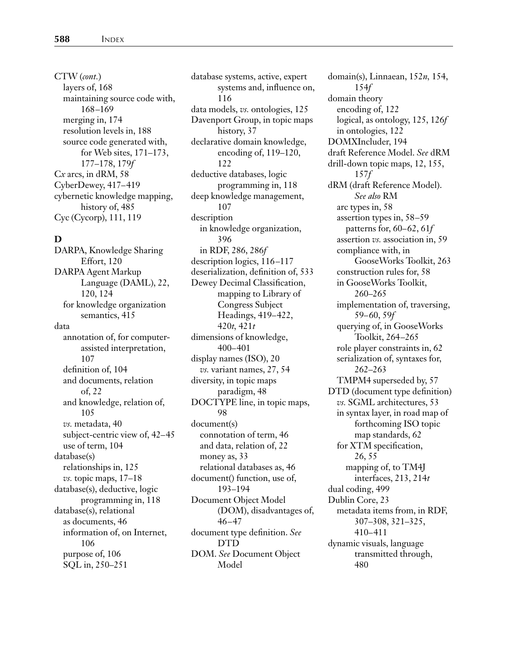CTW (*cont.*) layers of, 168 maintaining source code with, 168–169 merging in, 174 resolution levels in, 188 source code generated with, for Web sites, 171–173, 177–178, 179*f* C*x* arcs, in dRM, 58 CyberDewey, 417–419 cybernetic knowledge mapping, history of, 485 Cyc (Cycorp), 111, 119

#### **D**

DARPA, Knowledge Sharing Effort, 120 DARPA Agent Markup Language (DAML), 22, 120, 124 for knowledge organization semantics, 415 data annotation of, for computerassisted interpretation, 107 definition of, 104 and documents, relation of, 22 and knowledge, relation of, 105 *vs.* metadata, 40 subject-centric view of, 42–45 use of term, 104 database(s) relationships in, 125 *vs.* topic maps, 17–18 database(s), deductive, logic programming in, 118 database(s), relational as documents, 46 information of, on Internet, 106 purpose of, 106 SQL in, 250–251

database systems, active, expert systems and, influence on, 116 data models, *vs.* ontologies, 125 Davenport Group, in topic maps history, 37 declarative domain knowledge, encoding of, 119–120, 122 deductive databases, logic programming in, 118 deep knowledge management, 107 description in knowledge organization, 396 in RDF, 286, 286*f* description logics, 116–117 deserialization, definition of, 533 Dewey Decimal Classification, mapping to Library of Congress Subject Headings, 419–422, 420*t,* 421*t* dimensions of knowledge, 400–401 display names (ISO), 20 *vs.* variant names, 27, 54 diversity, in topic maps paradigm, 48 DOCTYPE line, in topic maps, 98 document(s) connotation of term, 46 and data, relation of, 22 money as, 33 relational databases as, 46 document() function, use of, 193–194 Document Object Model (DOM), disadvantages of, 46–47 document type definition. *See* DTD DOM. *See* Document Object Model

domain(s), Linnaean, 152*n,* 154, 154*f* domain theory encoding of, 122 logical, as ontology, 125, 126*f* in ontologies, 122 DOMXIncluder, 194 draft Reference Model. *See* dRM drill-down topic maps, 12, 155, 157*f* dRM (draft Reference Model). *See also* RM arc types in, 58 assertion types in, 58–59 patterns for, 60–62, 61*f* assertion *vs.* association in, 59 compliance with, in GooseWorks Toolkit, 263 construction rules for, 58 in GooseWorks Toolkit, 260–265 implementation of, traversing, 59–60, 59*f* querying of, in GooseWorks Toolkit, 264–265 role player constraints in, 62 serialization of, syntaxes for, 262–263 TMPM4 superseded by, 57 DTD (document type definition) *vs.* SGML architectures, 53 in syntax layer, in road map of forthcoming ISO topic map standards, 62 for XTM specification, 26, 55 mapping of, to TM4J interfaces, 213, 214*t* dual coding, 499 Dublin Core, 23 metadata items from, in RDF, 307–308, 321–325, 410–411 dynamic visuals, language transmitted through, 480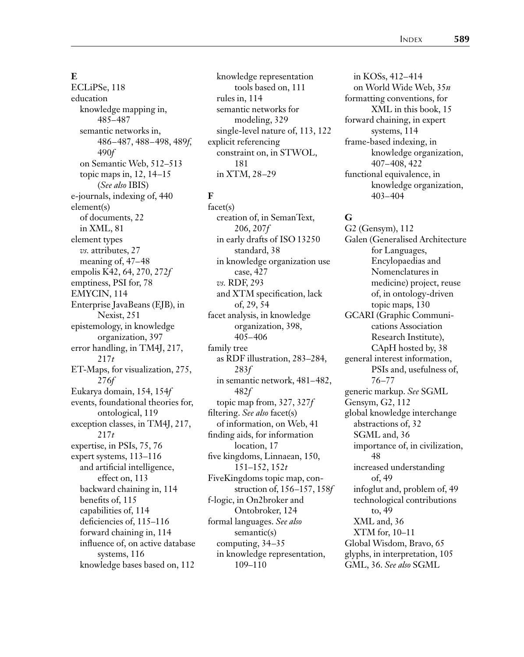#### **E**

ECLiPSe, 118 education knowledge mapping in, 485–487 semantic networks in, 486–487, 488–498, 489*f,* 490*f* on Semantic Web, 512–513 topic maps in, 12, 14–15 (*See also* IBIS) e-journals, indexing of, 440 element(s) of documents, 22 in XML, 81 element types *vs.* attributes, 27 meaning of, 47–48 empolis K42, 64, 270, 272*f* emptiness, PSI for, 78 EMYCIN, 114 Enterprise JavaBeans (EJB), in Nexist, 251 epistemology, in knowledge organization, 397 error handling, in TM4J, 217, 217*t* ET-Maps, for visualization, 275, 276*f* Eukarya domain, 154, 154*f* events, foundational theories for, ontological, 119 exception classes, in TM4J, 217, 217*t* expertise, in PSIs, 75, 76 expert systems, 113–116 and artificial intelligence, effect on, 113 backward chaining in, 114 benefits of, 115 capabilities of, 114 deficiencies of, 115–116 forward chaining in, 114 influence of, on active database systems, 116 knowledge bases based on, 112

knowledge representation tools based on, 111 rules in, 114 semantic networks for modeling, 329 single-level nature of, 113, 122 explicit referencing constraint on, in STWOL, 181 in XTM, 28–29

#### **F**

facet(s) creation of, in SemanText, 206, 207*f* in early drafts of ISO 13250 standard, 38 in knowledge organization use case, 427 *vs.* RDF, 293 and XTM specification, lack of, 29, 54 facet analysis, in knowledge organization, 398, 405–406 family tree as RDF illustration, 283–284, 283*f* in semantic network, 481–482, 482*f* topic map from, 327, 327*f* filtering. *See also* facet(s) of information, on Web, 41 finding aids, for information location, 17 five kingdoms, Linnaean, 150, 151–152, 152*t* FiveKingdoms topic map, construction of, 156–157, 158*f* f-logic, in On2broker and Ontobroker, 124 formal languages. *See also* semantic(s) computing, 34–35 in knowledge representation, 109–110

in KOSs, 412–414 on World Wide Web, 35*n* formatting conventions, for XML in this book, 15 forward chaining, in expert systems, 114 frame-based indexing, in knowledge organization, 407–408, 422 functional equivalence, in knowledge organization, 403–404

#### **G**

G2 (Gensym), 112 Galen (Generalised Architecture for Languages, Encylopaedias and Nomenclatures in medicine) project, reuse of, in ontology-driven topic maps, 130 GCARI (Graphic Communications Association Research Institute), CApH hosted by, 38 general interest information, PSIs and, usefulness of, 76–77 generic markup. *See* SGML Gensym, G2, 112 global knowledge interchange abstractions of, 32 SGML and, 36 importance of, in civilization, 48 increased understanding of, 49 infoglut and, problem of, 49 technological contributions to, 49 XML and, 36 XTM for, 10–11 Global Wisdom, Bravo, 65 glyphs, in interpretation, 105 GML, 36. *See also* SGML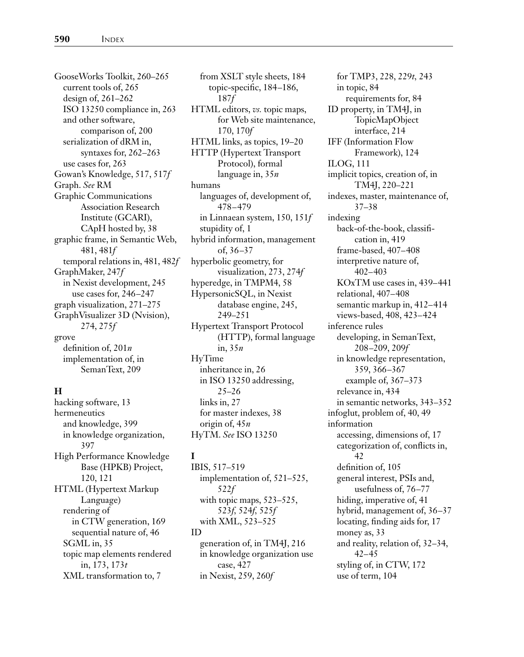GooseWorks Toolkit, 260–265 current tools of, 265 design of, 261–262 ISO 13250 compliance in, 263 and other software, comparison of, 200 serialization of dRM in, syntaxes for, 262–263 use cases for, 263 Gowan's Knowledge, 517, 517*f* Graph. *See* RM Graphic Communications Association Research Institute (GCARI), CApH hosted by, 38 graphic frame, in Semantic Web, 481, 481*f* temporal relations in, 481, 482*f* GraphMaker, 247*f* in Nexist development, 245 use cases for, 246–247 graph visualization, 271–275 GraphVisualizer 3D (Nvision), 274, 275*f* grove definition of, 201*n* implementation of, in SemanText, 209

#### **H**

hacking software, 13 hermeneutics and knowledge, 399 in knowledge organization, 397 High Performance Knowledge Base (HPKB) Project, 120, 121 HTML (Hypertext Markup Language) rendering of in CTW generation, 169 sequential nature of, 46 SGML in, 35 topic map elements rendered in, 173, 173*t* XML transformation to, 7

from XSLT style sheets, 184 topic-specific, 184–186, 187*f* HTML editors, *vs.* topic maps, for Web site maintenance, 170, 170*f* HTML links, as topics, 19–20 HTTP (Hypertext Transport Protocol), formal language in, 35*n* humans languages of, development of, 478–479 in Linnaean system, 150, 151*f* stupidity of, 1 hybrid information, management of, 36–37 hyperbolic geometry, for visualization, 273, 274*f* hyperedge, in TMPM4, 58 HypersonicSQL, in Nexist database engine, 245, 249–251 Hypertext Transport Protocol (HTTP), formal language in, 35*n* HyTime inheritance in, 26 in ISO 13250 addressing, 25–26 links in, 27 for master indexes, 38 origin of, 45*n*

#### **I**

IBIS, 517–519 implementation of, 521–525, 522*f* with topic maps, 523–525, 523*f,* 524*f,* 525*f* with XML, 523–525 ID generation of, in TM4J, 216 in knowledge organization use case, 427 in Nexist, 259, 260*f*

HyTM. *See* ISO 13250

for TMP3, 228, 229*t,* 243 in topic, 84 requirements for, 84 ID property, in TM4J, in TopicMapObject interface, 214 IFF (Information Flow Framework), 124 ILOG, 111 implicit topics, creation of, in TM4J, 220–221 indexes, master, maintenance of, 37–38 indexing back-of-the-book, classification in, 419 frame-based, 407–408 interpretive nature of, 402–403 KOxTM use cases in, 439–441 relational, 407–408 semantic markup in, 412–414 views-based, 408, 423–424 inference rules developing, in SemanText, 208–209, 209*f* in knowledge representation, 359, 366–367 example of, 367–373 relevance in, 434 in semantic networks, 343–352 infoglut, problem of, 40, 49 information accessing, dimensions of, 17 categorization of, conflicts in, 42 definition of, 105 general interest, PSIs and, usefulness of, 76–77 hiding, imperative of, 41 hybrid, management of, 36–37 locating, finding aids for, 17 money as, 33 and reality, relation of, 32–34, 42–45 styling of, in CTW, 172 use of term, 104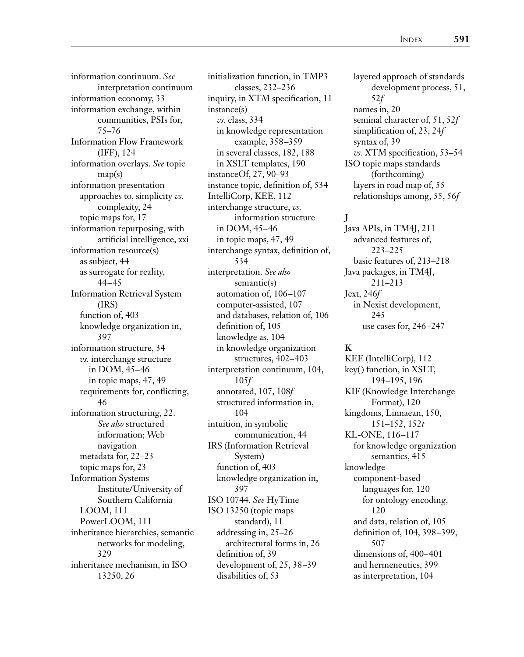information continuum. *See* interpretation continuum information economy, 33 information exchange, within communities, PSIs for, 75–76 Information Flow Framework (IFF), 124 information overlays. *See* topic map(s) information presentation approaches to, simplicity *vs.* complexity, 24 topic maps for, 17 information repurposing, with artificial intelligence, xxi information resource(s) as subject, 44 as surrogate for reality, 44–45 Information Retrieval System (IRS) function of, 403 knowledge organization in, 397 information structure, 34 *vs.* interchange structure in DOM, 45–46 in topic maps, 47, 49 requirements for, conflicting, 46 information structuring, 22. *See also* structured information; Web navigation metadata for, 22–23 topic maps for, 23 Information Systems Institute/University of Southern California LOOM, 111 PowerLOOM, 111 inheritance hierarchies, semantic networks for modeling, 329 inheritance mechanism, in ISO 13250, 26

initialization function, in TMP3 classes, 232–236 inquiry, in XTM specification, 11 instance(s) *vs.* class, 334 in knowledge representation example, 358–359 in several classes, 182, 188 in XSLT templates, 190 instanceOf, 27, 90–93 instance topic, definition of, 534 IntelliCorp, KEE, 112 interchange structure, *vs.* information structure in DOM, 45–46 in topic maps, 47, 49 interchange syntax, definition of, 534 interpretation. *See also* semantic(s) automation of, 106–107 computer-assisted, 107 and databases, relation of, 106 definition of, 105 knowledge as, 104 in knowledge organization structures, 402–403 interpretation continuum, 104, 105*f* annotated, 107, 108*f* structured information in, 104 intuition, in symbolic communication, 44 IRS (Information Retrieval System) function of, 403 knowledge organization in, 397 ISO 10744. *See* HyTime ISO 13250 (topic maps standard), 11 addressing in, 25–26 architectural forms in, 26 definition of, 39 development of, 25, 38–39

disabilities of, 53

layered approach of standards development process, 51, 52*f* names in, 20 seminal character of, 51, 52*f* simplification of, 23, 24*f* syntax of, 39 *vs.* XTM specification, 53–54 ISO topic maps standards (forthcoming) layers in road map of, 55 relationships among, 55, 56*f*

#### **J**

Java APIs, in TM4J, 211 advanced features of, 223–225 basic features of, 213–218 Java packages, in TM4J, 211–213 Jext, 246*f* in Nexist development, 245 use cases for, 246–247

#### **K**

KEE (IntelliCorp), 112 key() function, in XSLT, 194–195, 196 KIF (Knowledge Interchange Format), 120 kingdoms, Linnaean, 150, 151–152, 152*t* KL-ONE, 116–117 for knowledge organization semantics, 415 knowledge component-based languages for, 120 for ontology encoding, 120 and data, relation of, 105 definition of, 104, 398–399, 507 dimensions of, 400–401 and hermeneutics, 399 as interpretation, 104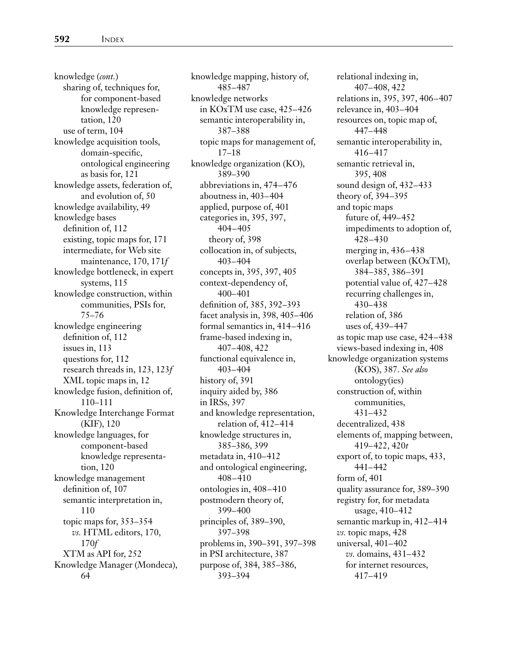knowledge (*cont.*) sharing of, techniques for, for component-based knowledge representation, 120 use of term, 104 knowledge acquisition tools, domain-specific, ontological engineering as basis for, 121 knowledge assets, federation of, and evolution of, 50 knowledge availability, 49 knowledge bases definition of, 112 existing, topic maps for, 171 intermediate, for Web site maintenance, 170, 171*f* knowledge bottleneck, in expert systems, 115 knowledge construction, within communities, PSIs for, 75–76 knowledge engineering definition of, 112 issues in, 113 questions for, 112 research threads in, 123, 123*f* XML topic maps in, 12 knowledge fusion, definition of, 110–111 Knowledge Interchange Format (KIF), 120 knowledge languages, for component-based knowledge representation, 120 knowledge management definition of, 107 semantic interpretation in, 110 topic maps for, 353–354 *vs.* HTML editors, 170, 170*f* XTM as API for, 252 Knowledge Manager (Mondeca), 64

knowledge mapping, history of, 485–487 knowledge networks in KOxTM use case, 425–426 semantic interoperability in, 387–388 topic maps for management of, 17–18 knowledge organization (KO), 389–390 abbreviations in, 474–476 aboutness in, 403–404 applied, purpose of, 401 categories in, 395, 397, 404–405 theory of, 398 collocation in, of subjects, 403–404 concepts in, 395, 397, 405 context-dependency of, 400–401 definition of, 385, 392–393 facet analysis in, 398, 405–406 formal semantics in, 414–416 frame-based indexing in, 407–408, 422 functional equivalence in, 403–404 history of, 391 inquiry aided by, 386 in IRSs, 397 and knowledge representation, relation of, 412–414 knowledge structures in, 385–386, 399 metadata in, 410–412 and ontological engineering, 408–410 ontologies in, 408–410 postmodern theory of, 399–400 principles of, 389–390, 397–398 problems in, 390–391, 397–398 in PSI architecture, 387 purpose of, 384, 385–386, 393–394

relational indexing in, 407–408, 422 relations in, 395, 397, 406–407 relevance in, 403–404 resources on, topic map of, 447–448 semantic interoperability in, 416–417 semantic retrieval in, 395, 408 sound design of, 432–433 theory of, 394–395 and topic maps future of, 449–452 impediments to adoption of, 428–430 merging in, 436–438 overlap between (KOxTM), 384–385, 386–391 potential value of, 427–428 recurring challenges in, 430–438 relation of, 386 uses of, 439–447 as topic map use case, 424–438 views-based indexing in, 408 knowledge organization systems (KOS), 387. *See also* ontology(ies) construction of, within communities, 431–432 decentralized, 438 elements of, mapping between, 419–422, 420*t* export of, to topic maps, 433, 441–442 form of, 401 quality assurance for, 389–390 registry for, for metadata usage, 410–412 semantic markup in, 412–414 *vs.* topic maps, 428 universal, 401–402 *vs.* domains, 431–432 for internet resources, 417–419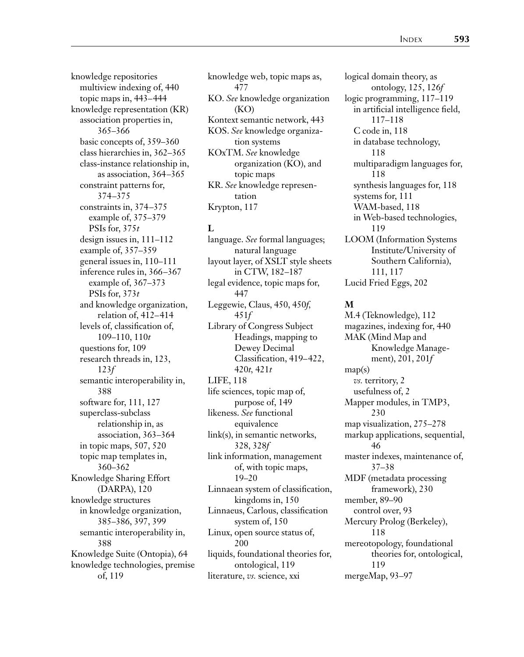knowledge repositories multiview indexing of, 440 topic maps in, 443–444 knowledge representation (KR) association properties in, 365–366 basic concepts of, 359–360 class hierarchies in, 362–365 class-instance relationship in, as association, 364–365 constraint patterns for, 374–375 constraints in, 374–375 example of, 375–379 PSIs for, 375*t* design issues in, 111–112 example of, 357–359 general issues in, 110–111 inference rules in, 366–367 example of, 367–373 PSIs for, 373*t* and knowledge organization, relation of, 412–414 levels of, classification of, 109–110, 110*t* questions for, 109 research threads in, 123, 123*f* semantic interoperability in, 388 software for, 111, 127 superclass-subclass relationship in, as association, 363–364 in topic maps, 507, 520 topic map templates in, 360–362 Knowledge Sharing Effort (DARPA), 120 knowledge structures in knowledge organization, 385–386, 397, 399 semantic interoperability in, 388 Knowledge Suite (Ontopia), 64 knowledge technologies, premise of, 119

knowledge web, topic maps as, 477 KO. *See* knowledge organization (KO) Kontext semantic network, 443 KOS. *See* knowledge organization systems KOxTM. *See* knowledge organization (KO), and topic maps KR. *See* knowledge representation Krypton, 117

#### **L**

language. *See* formal languages; natural language layout layer, of XSLT style sheets in CTW, 182–187 legal evidence, topic maps for, 447 Leggewie, Claus, 450, 450*f,* 451*f* Library of Congress Subject Headings, mapping to Dewey Decimal Classification, 419–422, 420*t,* 421*t* LIFE, 118 life sciences, topic map of, purpose of, 149 likeness. *See* functional equivalence link(s), in semantic networks, 328, 328*f* link information, management of, with topic maps, 19–20 Linnaean system of classification, kingdoms in, 150 Linnaeus, Carlous, classification system of, 150 Linux, open source status of, 200 liquids, foundational theories for, ontological, 119 literature, *vs.* science, xxi

logical domain theory, as ontology, 125, 126*f* logic programming, 117–119 in artificial intelligence field, 117–118 C code in, 118 in database technology, 118 multiparadigm languages for, 118 synthesis languages for, 118 systems for, 111 WAM-based, 118 in Web-based technologies, 119 LOOM (Information Systems Institute/University of Southern California), 111, 117 Lucid Fried Eggs, 202

#### **M**

M.4 (Teknowledge), 112 magazines, indexing for, 440 MAK (Mind Map and Knowledge Management), 201, 201*f* map(s) *vs.* territory, 2 usefulness of, 2 Mapper modules, in TMP3, 230 map visualization, 275–278 markup applications, sequential, 46 master indexes, maintenance of, 37–38 MDF (metadata processing framework), 230 member, 89–90 control over, 93 Mercury Prolog (Berkeley), 118 mereotopology, foundational theories for, ontological, 119 mergeMap, 93–97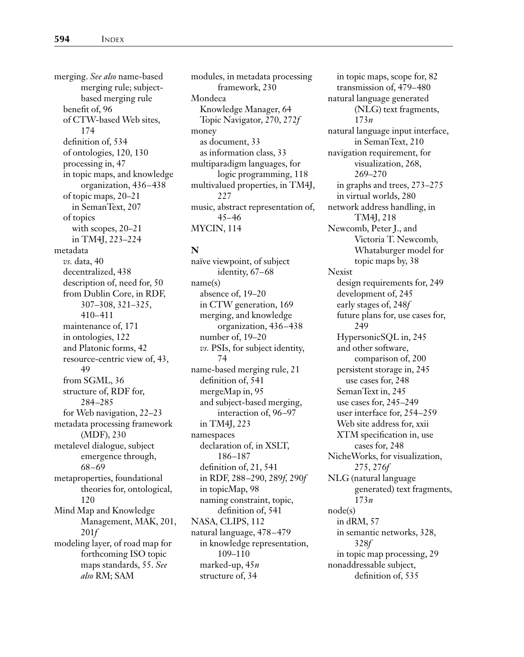merging. *See also* name-based merging rule; subjectbased merging rule benefit of, 96 of CTW-based Web sites, 174 definition of, 534 of ontologies, 120, 130 processing in, 47 in topic maps, and knowledge organization, 436–438 of topic maps, 20–21 in SemanText, 207 of topics with scopes, 20–21 in TM4J, 223–224 metadata *vs.* data, 40 decentralized, 438 description of, need for, 50 from Dublin Core, in RDF, 307–308, 321–325, 410–411 maintenance of, 171 in ontologies, 122 and Platonic forms, 42 resource-centric view of, 43, 49 from SGML, 36 structure of, RDF for, 284–285 for Web navigation, 22–23 metadata processing framework (MDF), 230 metalevel dialogue, subject emergence through, 68–69 metaproperties, foundational theories for, ontological, 120 Mind Map and Knowledge Management, MAK, 201, 201*f* modeling layer, of road map for forthcoming ISO topic maps standards, 55. *See also* RM; SAM

modules, in metadata processing framework, 230 Mondeca Knowledge Manager, 64 Topic Navigator, 270, 272*f* money as document, 33 as information class, 33 multiparadigm languages, for logic programming, 118 multivalued properties, in TM4J, 227 music, abstract representation of, 45–46 MYCIN, 114

#### **N**

naïve viewpoint, of subject identity, 67–68 name(s) absence of, 19–20 in CTW generation, 169 merging, and knowledge organization, 436–438 number of, 19–20 *vs.* PSIs, for subject identity, 74 name-based merging rule, 21 definition of, 541 mergeMap in, 95 and subject-based merging, interaction of, 96–97 in TM4J, 223 namespaces declaration of, in XSLT, 186–187 definition of, 21, 541 in RDF, 288–290, 289*f,* 290*f* in topicMap, 98 naming constraint, topic, definition of, 541 NASA, CLIPS, 112 natural language, 478–479 in knowledge representation, 109–110 marked-up, 45*n* structure of, 34

in topic maps, scope for, 82 transmission of, 479–480 natural language generated (NLG) text fragments, 173*n* natural language input interface, in SemanText, 210 navigation requirement, for visualization, 268, 269–270 in graphs and trees, 273–275 in virtual worlds, 280 network address handling, in TM4J, 218 Newcomb, Peter J., and Victoria T. Newcomb, Whataburger model for topic maps by, 38 Nexist design requirements for, 249 development of, 245 early stages of, 248*f* future plans for, use cases for, 249 HypersonicSQL in, 245 and other software, comparison of, 200 persistent storage in, 245 use cases for, 248 SemanText in, 245 use cases for, 245–249 user interface for, 254–259 Web site address for, xxii XTM specification in, use cases for, 248 NicheWorks, for visualization, 275, 276*f* NLG (natural language generated) text fragments, 173*n* node(s) in dRM, 57 in semantic networks, 328, 328*f* in topic map processing, 29 nonaddressable subject, definition of, 535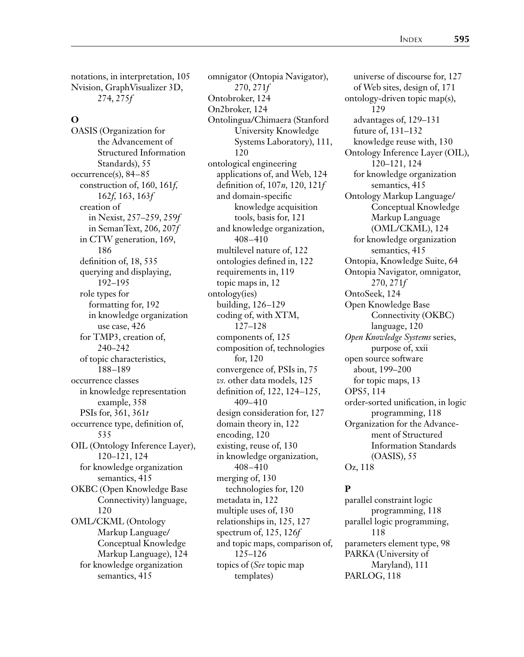notations, in interpretation, 105 Nvision, GraphVisualizer 3D, 274, 275*f*

#### **O**

OASIS (Organization for the Advancement of Structured Information Standards), 55 occurrence(s), 84–85 construction of, 160, 161*f,* 162*f,* 163, 163*f* creation of in Nexist, 257–259, 259*f* in SemanText, 206, 207*f* in CTW generation, 169, 186 definition of, 18, 535 querying and displaying, 192–195 role types for formatting for, 192 in knowledge organization use case, 426 for TMP3, creation of, 240–242 of topic characteristics, 188–189 occurrence classes in knowledge representation example, 358 PSIs for, 361, 361*t* occurrence type, definition of, 535 OIL (Ontology Inference Layer), 120–121, 124 for knowledge organization semantics, 415 OKBC (Open Knowledge Base Connectivity) language, 120 OML/CKML (Ontology Markup Language/ Conceptual Knowledge Markup Language), 124 for knowledge organization semantics, 415

omnigator (Ontopia Navigator), 270, 271*f* Ontobroker, 124 On2broker, 124 Ontolingua/Chimaera (Stanford University Knowledge Systems Laboratory), 111, 120 ontological engineering applications of, and Web, 124 definition of, 107*n,* 120, 121*f* and domain-specific knowledge acquisition tools, basis for, 121 and knowledge organization, 408–410 multilevel nature of, 122 ontologies defined in, 122 requirements in, 119 topic maps in, 12 ontology(ies) building, 126–129 coding of, with XTM, 127–128 components of, 125 composition of, technologies for, 120 convergence of, PSIs in, 75 *vs.* other data models, 125 definition of, 122, 124–125, 409–410 design consideration for, 127 domain theory in, 122 encoding, 120 existing, reuse of, 130 in knowledge organization, 408–410 merging of, 130 technologies for, 120 metadata in, 122 multiple uses of, 130 relationships in, 125, 127 spectrum of, 125, 126*f* and topic maps, comparison of, 125–126 topics of (*See* topic map templates)

universe of discourse for, 127 of Web sites, design of, 171 ontology-driven topic map(s), 129 advantages of, 129–131 future of, 131–132 knowledge reuse with, 130 Ontology Inference Layer (OIL), 120–121, 124 for knowledge organization semantics, 415 Ontology Markup Language/ Conceptual Knowledge Markup Language (OML/CKML), 124 for knowledge organization semantics, 415 Ontopia, Knowledge Suite, 64 Ontopia Navigator, omnigator, 270, 271*f* OntoSeek, 124 Open Knowledge Base Connectivity (OKBC) language, 120 *Open Knowledge Systems* series, purpose of, xxii open source software about, 199–200 for topic maps, 13 OPS5, 114 order-sorted unification, in logic programming, 118 Organization for the Advancement of Structured Information Standards (OASIS), 55 Oz, 118

#### **P**

parallel constraint logic programming, 118 parallel logic programming, 118 parameters element type, 98 PARKA (University of Maryland), 111 PARLOG, 118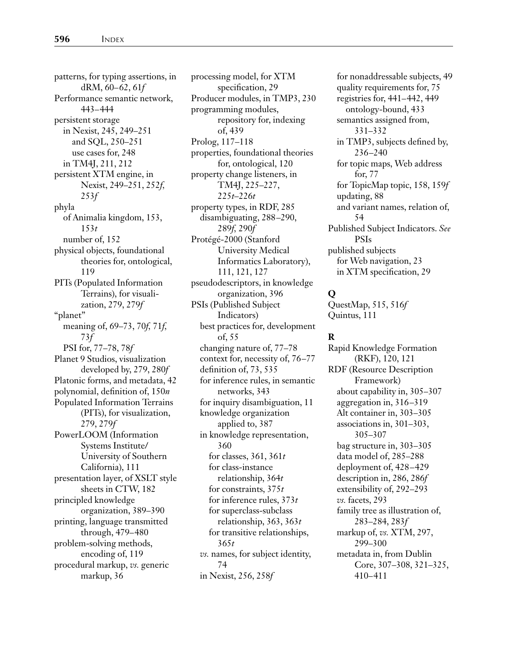patterns, for typing assertions, in dRM, 60–62, 61*f* Performance semantic network, 443–444 persistent storage in Nexist, 245, 249–251 and SQL, 250–251 use cases for, 248 in TM4J, 211, 212 persistent XTM engine, in Nexist, 249–251, 252*f,* 253*f* phyla of Animalia kingdom, 153, 153*t* number of, 152 physical objects, foundational theories for, ontological, 119 PITs (Populated Information Terrains), for visualization, 279, 279*f* "planet" meaning of, 69–73, 70*f,* 71*f,* 73*f* PSI for, 77–78, 78*f* Planet 9 Studios, visualization developed by, 279, 280*f* Platonic forms, and metadata, 42 polynomial, definition of, 150*n* Populated Information Terrains (PITs), for visualization, 279, 279*f* PowerLOOM (Information Systems Institute/ University of Southern California), 111 presentation layer, of XSLT style sheets in CTW, 182 principled knowledge organization, 389–390 printing, language transmitted through, 479–480 problem-solving methods, encoding of, 119 procedural markup, *vs.* generic markup, 36

processing model, for XTM specification, 29 Producer modules, in TMP3, 230 programming modules, repository for, indexing of, 439 Prolog, 117–118 properties, foundational theories for, ontological, 120 property change listeners, in TM4J, 225–227, 225*t*–226*t* property types, in RDF, 285 disambiguating, 288–290, 289*f,* 290*f* Protégé-2000 (Stanford University Medical Informatics Laboratory), 111, 121, 127 pseudodescriptors, in knowledge organization, 396 PSIs (Published Subject Indicators) best practices for, development of, 55 changing nature of, 77–78 context for, necessity of, 76–77 definition of, 73, 535 for inference rules, in semantic networks, 343 for inquiry disambiguation, 11 knowledge organization applied to, 387 in knowledge representation, 360 for classes, 361, 361*t* for class-instance relationship, 364*t* for constraints, 375*t* for inference rules, 373*t* for superclass-subclass relationship, 363, 363*t* for transitive relationships, 365*t vs.* names, for subject identity, 74 in Nexist, 256, 258*f*

for nonaddressable subjects, 49 quality requirements for, 75 registries for, 441–442, 449 ontology-bound, 433 semantics assigned from, 331–332 in TMP3, subjects defined by, 236–240 for topic maps, Web address for, 77 for TopicMap topic, 158, 159*f* updating, 88 and variant names, relation of, 54 Published Subject Indicators. *See* PSIs published subjects for Web navigation, 23 in XTM specification, 29

#### **Q**

QuestMap, 515, 516*f* Quintus, 111

#### **R**

Rapid Knowledge Formation (RKF), 120, 121 RDF (Resource Description Framework) about capability in, 305–307 aggregation in, 316–319 Alt container in, 303–305 associations in, 301–303, 305–307 bag structure in, 303–305 data model of, 285–288 deployment of, 428–429 description in, 286, 286*f* extensibility of, 292–293 *vs.* facets, 293 family tree as illustration of, 283–284, 283*f* markup of, *vs.* XTM, 297, 299–300 metadata in, from Dublin Core, 307–308, 321–325, 410–411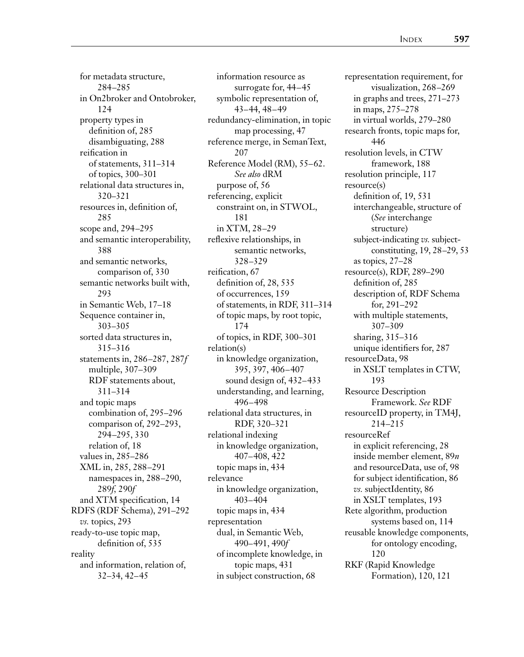for metadata structure, 284–285 in On2broker and Ontobroker, 124 property types in definition of, 285 disambiguating, 288 reification in of statements, 311–314 of topics, 300–301 relational data structures in, 320–321 resources in, definition of, 285 scope and, 294–295 and semantic interoperability, 388 and semantic networks, comparison of, 330 semantic networks built with, 293 in Semantic Web, 17–18 Sequence container in, 303–305 sorted data structures in, 315–316 statements in, 286–287, 287*f* multiple, 307–309 RDF statements about, 311–314 and topic maps combination of, 295–296 comparison of, 292–293, 294–295, 330 relation of, 18 values in, 285–286 XML in, 285, 288–291 namespaces in, 288–290, 289*f,* 290*f* and XTM specification, 14 RDFS (RDF Schema), 291–292 *vs.* topics, 293 ready-to-use topic map, definition of, 535 reality and information, relation of, 32–34, 42–45

information resource as surrogate for, 44–45 symbolic representation of, 43–44, 48–49 redundancy-elimination, in topic map processing, 47 reference merge, in SemanText, 207 Reference Model (RM), 55–62. *See also* dRM purpose of, 56 referencing, explicit constraint on, in STWOL, 181 in XTM, 28–29 reflexive relationships, in semantic networks, 328–329 reification, 67 definition of, 28, 535 of occurrences, 159 of statements, in RDF, 311–314 of topic maps, by root topic, 174 of topics, in RDF, 300–301 relation(s) in knowledge organization, 395, 397, 406–407 sound design of, 432–433 understanding, and learning, 496–498 relational data structures, in RDF, 320–321 relational indexing in knowledge organization, 407–408, 422 topic maps in, 434 relevance in knowledge organization, 403–404 topic maps in, 434 representation dual, in Semantic Web, 490–491, 490*f* of incomplete knowledge, in topic maps, 431 in subject construction, 68

representation requirement, for visualization, 268–269 in graphs and trees, 271–273 in maps, 275–278 in virtual worlds, 279–280 research fronts, topic maps for, 446 resolution levels, in CTW framework, 188 resolution principle, 117 resource(s) definition of, 19, 531 interchangeable, structure of (*See* interchange structure) subject-indicating *vs.* subjectconstituting, 19, 28–29, 53 as topics, 27–28 resource(s), RDF, 289–290 definition of, 285 description of, RDF Schema for, 291–292 with multiple statements, 307–309 sharing, 315–316 unique identifiers for, 287 resourceData, 98 in XSLT templates in CTW, 193 Resource Description Framework. *See* RDF resourceID property, in TM4J, 214–215 resourceRef in explicit referencing, 28 inside member element, 89*n* and resourceData, use of, 98 for subject identification, 86 *vs.* subjectIdentity, 86 in XSLT templates, 193 Rete algorithm, production systems based on, 114 reusable knowledge components, for ontology encoding, 120 RKF (Rapid Knowledge Formation), 120, 121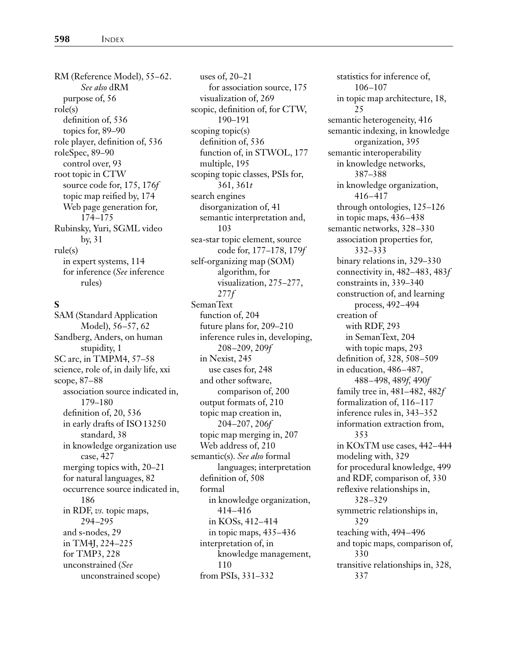RM (Reference Model), 55–62. *See also* dRM purpose of, 56 role(s) definition of, 536 topics for, 89–90 role player, definition of, 536 roleSpec, 89–90 control over, 93 root topic in CTW source code for, 175, 176*f* topic map reified by, 174 Web page generation for, 174–175 Rubinsky, Yuri, SGML video by, 31 rule(s) in expert systems, 114 for inference (*See* inference rules)

#### **S**

SAM (Standard Application Model), 56–57, 62 Sandberg, Anders, on human stupidity, 1 SC arc, in TMPM4, 57–58 science, role of, in daily life, xxi scope, 87–88 association source indicated in, 179–180 definition of, 20, 536 in early drafts of ISO13250 standard, 38 in knowledge organization use case, 427 merging topics with, 20–21 for natural languages, 82 occurrence source indicated in, 186 in RDF, *vs.* topic maps, 294–295 and s-nodes, 29 in TM4J, 224–225 for TMP3, 228 unconstrained (*See* unconstrained scope)

uses of, 20–21 for association source, 175 visualization of, 269 scopic, definition of, for CTW, 190–191 scoping topic(s) definition of, 536 function of, in STWOL, 177 multiple, 195 scoping topic classes, PSIs for, 361, 361*t* search engines disorganization of, 41 semantic interpretation and, 103 sea-star topic element, source code for, 177–178, 179*f* self-organizing map (SOM) algorithm, for visualization, 275–277, 277*f* SemanText function of, 204 future plans for, 209–210 inference rules in, developing, 208–209, 209*f* in Nexist, 245 use cases for, 248 and other software, comparison of, 200 output formats of, 210 topic map creation in, 204–207, 206*f* topic map merging in, 207 Web address of, 210 semantic(s). *See also* formal languages; interpretation definition of, 508 formal in knowledge organization, 414–416 in KOSs, 412–414 in topic maps, 435–436 interpretation of, in knowledge management, 110 from PSIs, 331–332

statistics for inference of, 106–107 in topic map architecture, 18, 25 semantic heterogeneity, 416 semantic indexing, in knowledge organization, 395 semantic interoperability in knowledge networks, 387–388 in knowledge organization, 416–417 through ontologies, 125–126 in topic maps, 436–438 semantic networks, 328–330 association properties for, 332–333 binary relations in, 329–330 connectivity in, 482–483, 483*f* constraints in, 339–340 construction of, and learning process, 492–494 creation of with RDF, 293 in SemanText, 204 with topic maps, 293 definition of, 328, 508–509 in education, 486–487, 488–498, 489*f,* 490*f* family tree in, 481–482, 482*f* formalization of, 116–117 inference rules in, 343–352 information extraction from, 353 in KOxTM use cases, 442–444 modeling with, 329 for procedural knowledge, 499 and RDF, comparison of, 330 reflexive relationships in, 328–329 symmetric relationships in, 329 teaching with, 494–496 and topic maps, comparison of, 330 transitive relationships in, 328, 337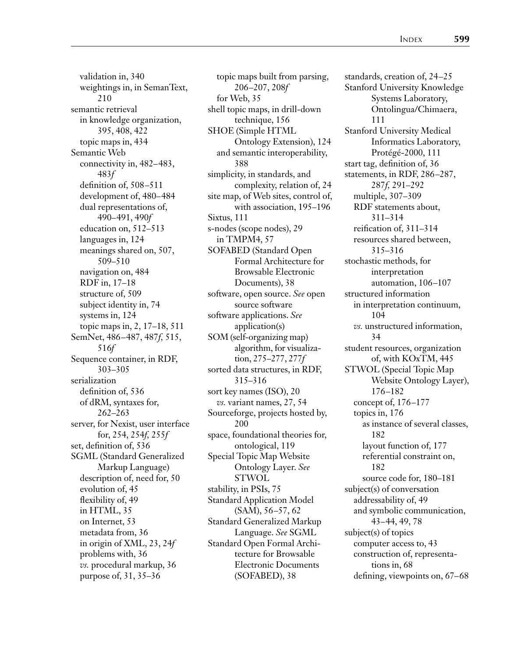validation in, 340 weightings in, in SemanText, 210 semantic retrieval in knowledge organization, 395, 408, 422 topic maps in, 434 Semantic Web connectivity in, 482–483, 483*f* definition of, 508–511 development of, 480–484 dual representations of, 490–491, 490*f* education on, 512–513 languages in, 124 meanings shared on, 507, 509–510 navigation on, 484 RDF in, 17–18 structure of, 509 subject identity in, 74 systems in, 124 topic maps in, 2, 17–18, 511 SemNet, 486–487, 487*f,* 515, 516*f* Sequence container, in RDF, 303–305 serialization definition of, 536 of dRM, syntaxes for, 262–263 server, for Nexist, user interface for, 254, 254*f,* 255*f* set, definition of, 536 SGML (Standard Generalized Markup Language) description of, need for, 50 evolution of, 45 flexibility of, 49 in HTML, 35 on Internet, 53 metadata from, 36 in origin of XML, 23, 24*f* problems with, 36 *vs.* procedural markup, 36 purpose of, 31, 35–36

topic maps built from parsing, 206–207, 208*f* for Web, 35 shell topic maps, in drill-down technique, 156 SHOE (Simple HTML Ontology Extension), 124 and semantic interoperability, 388 simplicity, in standards, and complexity, relation of, 24 site map, of Web sites, control of, with association, 195–196 Sixtus, 111 s-nodes (scope nodes), 29 in TMPM4, 57 SOFABED (Standard Open Formal Architecture for Browsable Electronic Documents), 38 software, open source. *See* open source software software applications. *See* application(s) SOM (self-organizing map) algorithm, for visualization, 275–277, 277*f* sorted data structures, in RDF, 315–316 sort key names (ISO), 20 *vs.* variant names, 27, 54 Sourceforge, projects hosted by, 200 space, foundational theories for, ontological, 119 Special Topic Map Website Ontology Layer. *See* **STWOL** stability, in PSIs, 75 Standard Application Model (SAM), 56–57, 62 Standard Generalized Markup Language. *See* SGML Standard Open Formal Architecture for Browsable Electronic Documents (SOFABED), 38

standards, creation of, 24–25 Stanford University Knowledge Systems Laboratory, Ontolingua/Chimaera, 111 Stanford University Medical Informatics Laboratory, Protégé-2000, 111 start tag, definition of, 36 statements, in RDF, 286–287, 287*f,* 291–292 multiple, 307–309 RDF statements about, 311–314 reification of, 311–314 resources shared between, 315–316 stochastic methods, for interpretation automation, 106–107 structured information in interpretation continuum, 104 *vs.* unstructured information, 34 student resources, organization of, with KOxTM, 445 STWOL (Special Topic Map Website Ontology Layer), 176–182 concept of, 176–177 topics in, 176 as instance of several classes, 182 layout function of, 177 referential constraint on, 182 source code for, 180–181 subject(s) of conversation addressability of, 49 and symbolic communication, 43–44, 49, 78 subject(s) of topics computer access to, 43 construction of, representations in, 68 defining, viewpoints on, 67–68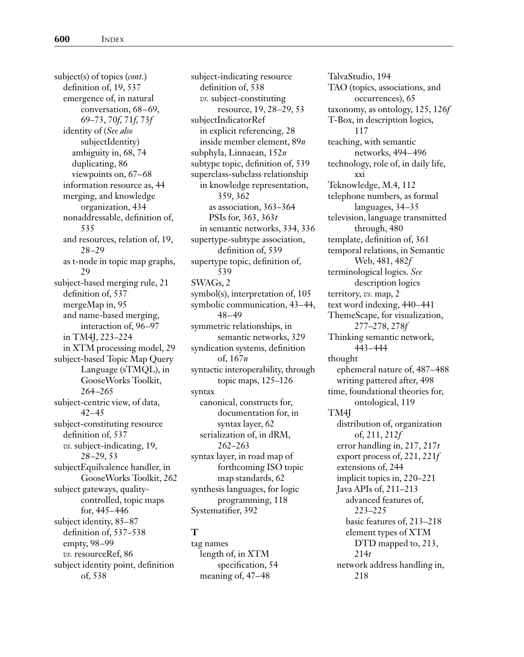subject(s) of topics (*cont.*) definition of, 19, 537 emergence of, in natural conversation, 68–69, 69–73, 70*f,* 71*f,* 73*f* identity of (*See also* subjectIdentity) ambiguity in, 68, 74 duplicating, 86 viewpoints on, 67–68 information resource as, 44 merging, and knowledge organization, 434 nonaddressable, definition of, 535 and resources, relation of, 19, 28–29 as t-node in topic map graphs, 29 subject-based merging rule, 21 definition of, 537 mergeMap in, 95 and name-based merging, interaction of, 96–97 in TM4J, 223–224 in XTM processing model, 29 subject-based Topic Map Query Language (sTMQL), in GooseWorks Toolkit, 264–265 subject-centric view, of data, 42–45 subject-constituting resource definition of, 537 *vs.* subject-indicating, 19, 28–29, 53 subjectEquilvalence handler, in GooseWorks Toolkit, 262 subject gateways, qualitycontrolled, topic maps for, 445–446 subject identity, 85–87 definition of, 537–538 empty, 98–99 *vs.* resourceRef, 86 subject identity point, definition of, 538

subject-indicating resource definition of, 538 *vs.* subject-constituting resource, 19, 28–29, 53 subjectIndicatorRef in explicit referencing, 28 inside member element, 89*n* subphyla, Linnaean, 152*n* subtype topic, definition of, 539 superclass-subclass relationship in knowledge representation, 359, 362 as association, 363–364 PSIs for, 363, 363*t* in semantic networks, 334, 336 supertype-subtype association, definition of, 539 supertype topic, definition of, 539 SWAGs, 2 symbol(s), interpretation of, 105 symbolic communication, 43–44, 48–49 symmetric relationships, in semantic networks, 329 syndication systems, definition of, 167*n* syntactic interoperability, through topic maps, 125–126 syntax canonical, constructs for, documentation for, in syntax layer, 62 serialization of, in dRM, 262–263 syntax layer, in road map of forthcoming ISO topic map standards, 62 synthesis languages, for logic programming, 118 Systematifier, 392

#### **T**

tag names length of, in XTM specification, 54 meaning of, 47–48

TalvaStudio, 194 TAO (topics, associations, and occurrences), 65 taxonomy, as ontology, 125, 126*f* T-Box, in description logics, 117 teaching, with semantic networks, 494–496 technology, role of, in daily life, xxi Teknowledge, M.4, 112 telephone numbers, as formal languages, 34–35 television, language transmitted through, 480 template, definition of, 361 temporal relations, in Semantic Web, 481, 482*f* terminological logics. *See* description logics territory, *vs.* map, 2 text word indexing, 440–441 ThemeScape, for visualization, 277–278, 278*f* Thinking semantic network, 443–444 thought ephemeral nature of, 487–488 writing pattered after, 498 time, foundational theories for, ontological, 119 TM4J distribution of, organization of, 211, 212*f* error handling in, 217, 217*t* export process of, 221, 221*f* extensions of, 244 implicit topics in, 220–221 Java APIs of, 211–213 advanced features of, 223–225 basic features of, 213–218 element types of XTM DTD mapped to, 213, 214*t* network address handling in, 218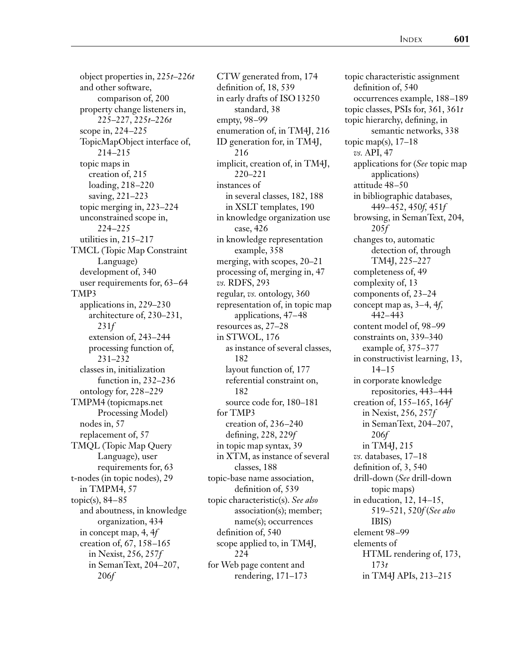object properties in, 225*t*–226*t* and other software, comparison of, 200 property change listeners in, 225–227, 225*t*–226*t* scope in, 224–225 TopicMapObject interface of, 214–215 topic maps in creation of, 215 loading, 218–220 saving, 221–223 topic merging in, 223–224 unconstrained scope in, 224–225 utilities in, 215–217 TMCL (Topic Map Constraint Language) development of, 340 user requirements for, 63–64 TMP3 applications in, 229–230 architecture of, 230–231, 231*f* extension of, 243–244 processing function of, 231–232 classes in, initialization function in, 232–236 ontology for, 228–229 TMPM4 (topicmaps.net Processing Model) nodes in, 57 replacement of, 57 TMQL (Topic Map Query Language), user requirements for, 63 t-nodes (in topic nodes), 29 in TMPM4, 57 topic(s), 84–85 and aboutness, in knowledge organization, 434 in concept map, 4, 4*f* creation of, 67, 158–165 in Nexist, 256, 257*f* in SemanText, 204–207, 206*f*

CTW generated from, 174 definition of, 18, 539 in early drafts of ISO13250 standard, 38 empty, 98–99 enumeration of, in TM4J, 216 ID generation for, in TM4J, 216 implicit, creation of, in TM4J, 220–221 instances of in several classes, 182, 188 in XSLT templates, 190 in knowledge organization use case, 426 in knowledge representation example, 358 merging, with scopes, 20–21 processing of, merging in, 47 *vs.* RDFS, 293 regular, *vs.* ontology, 360 representation of, in topic map applications, 47–48 resources as, 27–28 in STWOL, 176 as instance of several classes, 182 layout function of, 177 referential constraint on, 182 source code for, 180–181 for TMP3 creation of, 236–240 defining, 228, 229*f* in topic map syntax, 39 in XTM, as instance of several classes, 188 topic-base name association, definition of, 539 topic characteristic(s). *See also* association(s); member; name(s); occurrences definition of, 540 scope applied to, in TM4J, 224 for Web page content and rendering, 171–173

topic characteristic assignment definition of, 540 occurrences example, 188–189 topic classes, PSIs for, 361, 361*t* topic hierarchy, defining, in semantic networks, 338 topic map(s),  $17-18$ *vs.* API, 47 applications for (*See* topic map applications) attitude 48–50 in bibliographic databases, 449–452, 450*f,* 451*f* browsing, in SemanText, 204, 205*f* changes to, automatic detection of, through TM4J, 225–227 completeness of, 49 complexity of, 13 components of, 23–24 concept map as, 3–4, 4*f,* 442–443 content model of, 98–99 constraints on, 339–340 example of, 375–377 in constructivist learning, 13, 14–15 in corporate knowledge repositories, 443–444 creation of, 155–165, 164*f* in Nexist, 256, 257*f* in SemanText, 204–207, 206*f* in TM4J, 215 *vs.* databases, 17–18 definition of, 3, 540 drill-down (*See* drill-down topic maps) in education, 12, 14–15, 519–521, 520*f* (*See also* IBIS) element 98–99 elements of HTML rendering of, 173, 173*t* in TM4J APIs, 213–215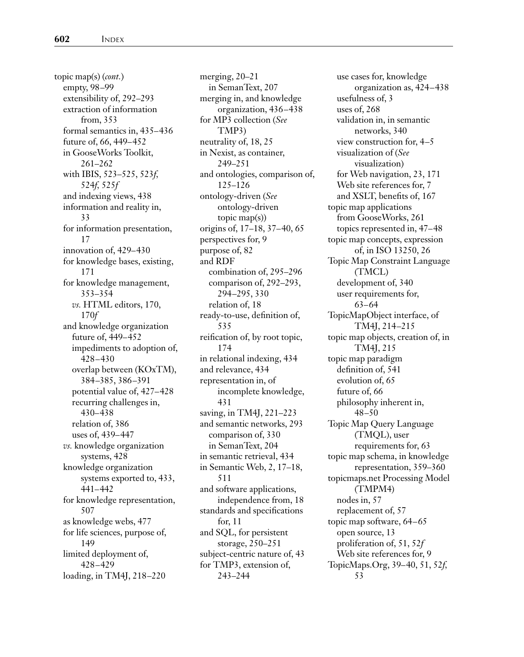topic map(s) (*cont.*) empty, 98–99 extensibility of, 292–293 extraction of information from, 353 formal semantics in, 435–436 future of, 66, 449–452 in GooseWorks Toolkit, 261–262 with IBIS, 523–525, 523*f,* 524*f,* 525*f* and indexing views, 438 information and reality in, 33 for information presentation, 17 innovation of, 429–430 for knowledge bases, existing, 171 for knowledge management, 353–354 *vs.* HTML editors, 170, 170*f* and knowledge organization future of, 449–452 impediments to adoption of, 428–430 overlap between (KOxTM), 384–385, 386–391 potential value of, 427–428 recurring challenges in, 430–438 relation of, 386 uses of, 439–447 *vs.* knowledge organization systems, 428 knowledge organization systems exported to, 433, 441–442 for knowledge representation, 507 as knowledge webs, 477 for life sciences, purpose of, 149 limited deployment of, 428–429 loading, in TM4J, 218–220

merging, 20–21 in SemanText, 207 merging in, and knowledge organization, 436–438 for MP3 collection (*See* TMP3) neutrality of, 18, 25 in Nexist, as container, 249–251 and ontologies, comparison of, 125–126 ontology-driven (*See* ontology-driven topic map(s)) origins of, 17–18, 37–40, 65 perspectives for, 9 purpose of, 82 and RDF combination of, 295–296 comparison of, 292–293, 294–295, 330 relation of, 18 ready-to-use, definition of, 535 reification of, by root topic, 174 in relational indexing, 434 and relevance, 434 representation in, of incomplete knowledge, 431 saving, in TM4J, 221–223 and semantic networks, 293 comparison of, 330 in SemanText, 204 in semantic retrieval, 434 in Semantic Web, 2, 17–18, 511 and software applications, independence from, 18 standards and specifications for, 11 and SQL, for persistent storage, 250–251 subject-centric nature of, 43 for TMP3, extension of, 243–244

use cases for, knowledge organization as, 424–438 usefulness of, 3 uses of, 268 validation in, in semantic networks, 340 view construction for, 4–5 visualization of (*See* visualization) for Web navigation, 23, 171 Web site references for, 7 and XSLT, benefits of, 167 topic map applications from GooseWorks, 261 topics represented in, 47–48 topic map concepts, expression of, in ISO 13250, 26 Topic Map Constraint Language (TMCL) development of, 340 user requirements for, 63–64 TopicMapObject interface, of TM4J, 214–215 topic map objects, creation of, in TM4J, 215 topic map paradigm definition of, 541 evolution of, 65 future of, 66 philosophy inherent in, 48–50 Topic Map Query Language (TMQL), user requirements for, 63 topic map schema, in knowledge representation, 359–360 topicmaps.net Processing Model (TMPM4) nodes in, 57 replacement of, 57 topic map software, 64–65 open source, 13 proliferation of, 51, 52*f* Web site references for, 9 TopicMaps.Org, 39–40, 51, 52*f,* 53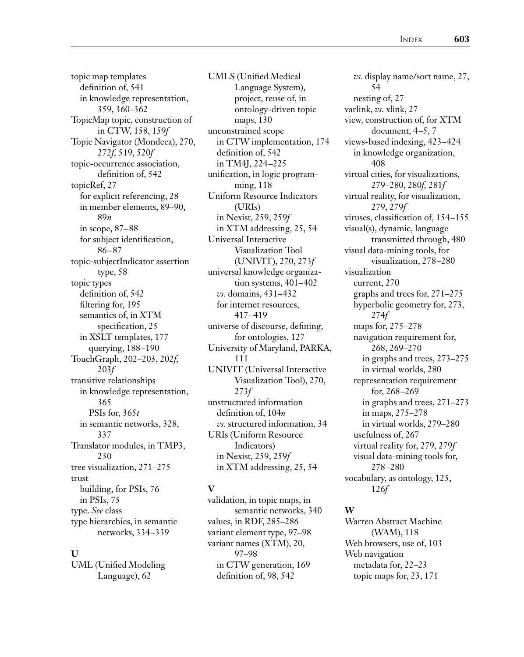topic map templates definition of, 541 in knowledge representation, 359, 360–362 TopicMap topic, construction of in CTW, 158, 159*f* Topic Navigator (Mondeca), 270, 272*f,* 519, 520*f* topic-occurrence association, definition of, 542 topicRef, 27 for explicit referencing, 28 in member elements, 89–90, 89*n* in scope, 87–88 for subject identification, 86–87 topic-subjectIndicator assertion type, 58 topic types definition of, 542 filtering for, 195 semantics of, in XTM specification, 25 in XSLT templates, 177 querying, 188–190 TouchGraph, 202–203, 202*f,* 203*f* transitive relationships in knowledge representation, 365 PSIs for, 365*t* in semantic networks, 328, 337 Translator modules, in TMP3, 230 tree visualization, 271–275 trust building, for PSIs, 76 in PSIs, 75 type. *See* class type hierarchies, in semantic networks, 334–339

#### **U**

UML (Unified Modeling Language), 62

UMLS (Unified Medical Language System), project, reuse of, in ontology-driven topic maps, 130 unconstrained scope in CTW implementation, 174 definition of, 542 in TM4J, 224–225 unification, in logic programming, 118 Uniform Resource Indicators (URIs) in Nexist, 259, 259*f* in XTM addressing, 25, 54 Universal Interactive Visualization Tool (UNIVIT), 270, 273*f* universal knowledge organization systems, 401–402 *vs.* domains, 431–432 for internet resources, 417–419 universe of discourse, defining, for ontologies, 127 University of Maryland, PARKA, 111 UNIVIT (Universal Interactive Visualization Tool), 270, 273*f* unstructured information definition of, 104*n vs.* structured information, 34 URIs (Uniform Resource Indicators) in Nexist, 259, 259*f* in XTM addressing, 25, 54

#### **V**

validation, in topic maps, in semantic networks, 340 values, in RDF, 285–286 variant element type, 97–98 variant names (XTM), 20, 97–98 in CTW generation, 169 definition of, 98, 542

*vs.* display name/sort name, 27, 54 nesting of, 27 varlink, *vs.* xlink, 27 view, construction of, for XTM document, 4–5, 7 views-based indexing, 423–424 in knowledge organization, 408 virtual cities, for visualizations, 279–280, 280*f,* 281*f* virtual reality, for visualization, 279, 279*f* viruses, classification of, 154–155 visual(s), dynamic, language transmitted through, 480 visual data-mining tools, for visualization, 278–280 visualization current, 270 graphs and trees for, 271–275 hyperbolic geometry for, 273, 274*f* maps for, 275–278 navigation requirement for, 268, 269–270 in graphs and trees, 273–275 in virtual worlds, 280 representation requirement for, 268–269 in graphs and trees, 271–273 in maps, 275–278 in virtual worlds, 279–280 usefulness of, 267 virtual reality for, 279, 279*f* visual data-mining tools for, 278–280 vocabulary, as ontology, 125, 126*f*

#### **W**

Warren Abstract Machine (WAM), 118 Web browsers, use of, 103 Web navigation metadata for, 22–23 topic maps for, 23, 171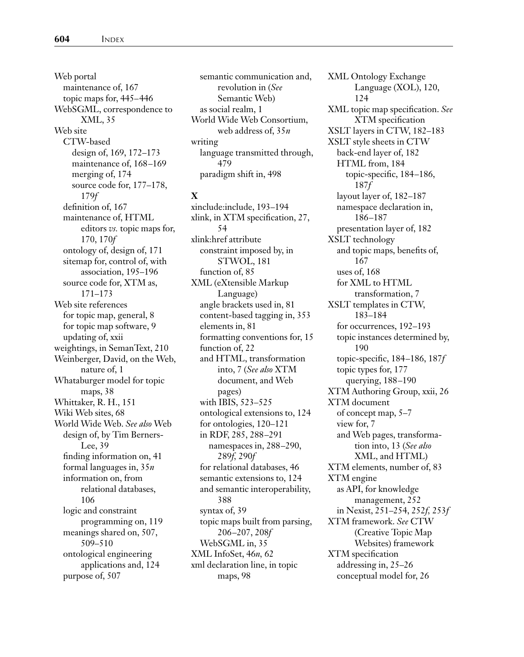Web portal maintenance of, 167 topic maps for, 445–446 WebSGML, correspondence to XML, 35 Web site CTW-based design of, 169, 172–173 maintenance of, 168–169 merging of, 174 source code for, 177–178, 179*f* definition of, 167 maintenance of, HTML editors *vs.* topic maps for, 170, 170*f* ontology of, design of, 171 sitemap for, control of, with association, 195–196 source code for, XTM as, 171–173 Web site references for topic map, general, 8 for topic map software, 9 updating of, xxii weightings, in SemanText, 210 Weinberger, David, on the Web, nature of, 1 Whataburger model for topic maps, 38 Whittaker, R. H., 151 Wiki Web sites, 68 World Wide Web. *See also* Web design of, by Tim Berners-Lee, 39 finding information on, 41 formal languages in, 35*n* information on, from relational databases, 106 logic and constraint programming on, 119 meanings shared on, 507, 509–510 ontological engineering applications and, 124 purpose of, 507

semantic communication and, revolution in (*See* Semantic Web) as social realm, 1 World Wide Web Consortium, web address of, 35*n* writing language transmitted through, 479 paradigm shift in, 498

#### **X**

xinclude:include, 193–194 xlink, in XTM specification, 27, 54 xlink:href attribute constraint imposed by, in STWOL, 181 function of, 85 XML (eXtensible Markup Language) angle brackets used in, 81 content-based tagging in, 353 elements in, 81 formatting conventions for, 15 function of, 22 and HTML, transformation into, 7 (*See also* XTM document, and Web pages) with IBIS, 523–525 ontological extensions to, 124 for ontologies, 120–121 in RDF, 285, 288–291 namespaces in, 288–290, 289*f,* 290*f* for relational databases, 46 semantic extensions to, 124 and semantic interoperability, 388 syntax of, 39 topic maps built from parsing, 206–207, 208*f* WebSGML in, 35 XML InfoSet, 46*n,* 62 xml declaration line, in topic maps, 98

XML Ontology Exchange Language (XOL), 120, 124 XML topic map specification. *See* XTM specification XSLT layers in CTW, 182–183 XSLT style sheets in CTW back-end layer of, 182 HTML from, 184 topic-specific, 184–186, 187*f* layout layer of, 182–187 namespace declaration in, 186–187 presentation layer of, 182 XSLT technology and topic maps, benefits of, 167 uses of, 168 for XML to HTML transformation, 7 XSLT templates in CTW, 183–184 for occurrences, 192–193 topic instances determined by, 190 topic-specific, 184–186, 187*f* topic types for, 177 querying, 188–190 XTM Authoring Group, xxii, 26 XTM document of concept map, 5–7 view for, 7 and Web pages, transformation into, 13 (*See also* XML, and HTML) XTM elements, number of, 83 XTM engine as API, for knowledge management, 252 in Nexist, 251–254, 252*f,* 253*f* XTM framework. *See* CTW (Creative Topic Map Websites) framework XTM specification addressing in, 25–26 conceptual model for, 26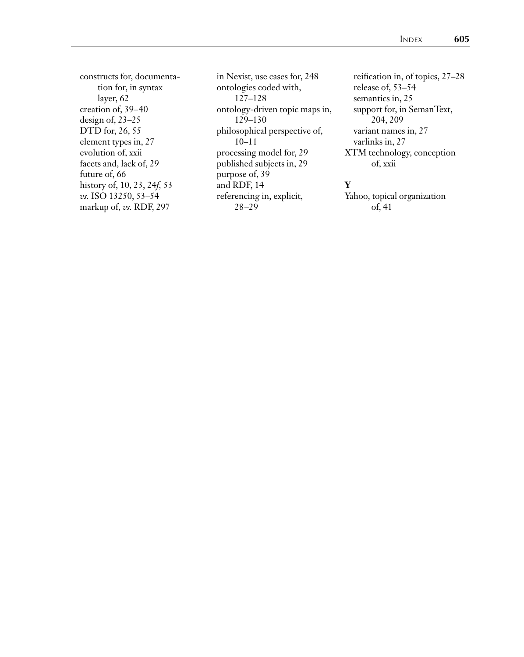constructs for, documentation for, in syntax layer, 62 creation of, 39–40 design of, 23–25 DTD for, 26, 55 element types in, 27 evolution of, xxii facets and, lack of, 29 future of, 66 history of, 10, 23, 24*f,* 53 *vs.* ISO 13250, 53–54 markup of, *vs.* RDF, 297

in Nexist, use cases for, 248 ontologies coded with, 127–128 ontology-driven topic maps in, 129–130 philosophical perspective of, 10–11 processing model for, 29 published subjects in, 29 purpose of, 39 and RDF, 14 referencing in, explicit, 28–29

reification in, of topics, 27–28 release of, 53–54 semantics in, 25 support for, in SemanText, 204, 209 variant names in, 27 varlinks in, 27 XTM technology, conception of, xxii

#### **Y**

Yahoo, topical organization of, 41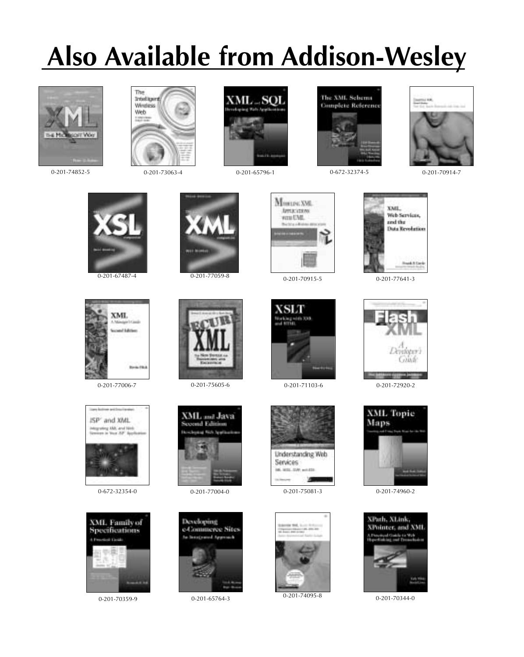# **Also Available from Addison-Wesley**



0-201-73063-4 0-201-74852-5 0-201-65796-1







0-672-32374-5 0-201-70914-7













0-672-32354-0 0-201-75081-3 0-201-77004-0



0-201-74095-8



0-201-77641-3





0-201-74960-2



0-201-70344-0

XML of Edition













0-201-70359-9 0-201-65764-3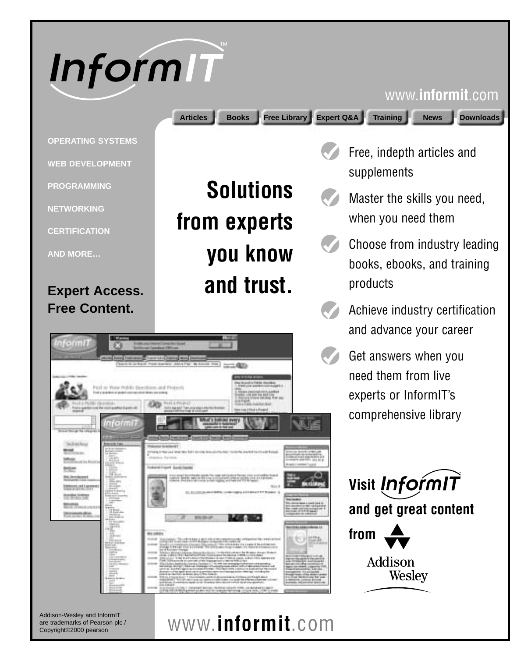

### www.**informit**.com

**Articles Books Free Library Expert Q&A Training News Downloads**

**Solutions** 

**you know**

**and trust.**

**from experts**

Free, indepth articles and supplements

- Master the skills you need, when you need them
- Choose from industry leading books, ebooks, and training products
- Achieve industry certification and advance your career
- Get answers when you need them from live experts or InformIT's comprehensive library



Addison **Wesley** 

Addison-Wesley and InformIT are trademarks of Pearson plc / Copyright©2000 pearson

## www.**informit**.com

nformi1 (I at these Public Description and Perfect amn

**NETWORKING**

**PROGRAMMING**

**OPERATING SYSTEMS**

**WEB DEVELOPMENT**

**CERTIFICATION**

**AND MORE…**

## **Expert Access. Free Content.**